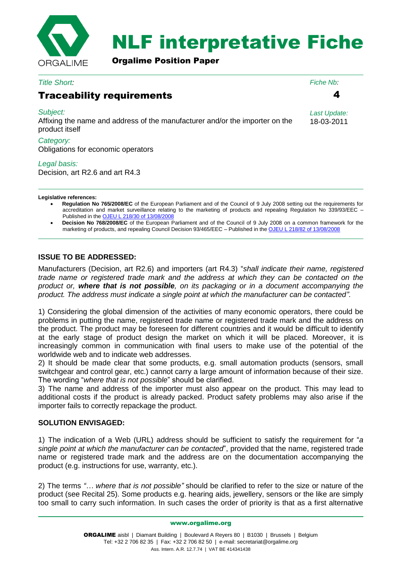

# NLF interpretative Fiche

Orgalime Position Paper

*Title Short:*

## Traceability requirements

#### *Subject:*

Affixing the name and address of the manufacturer and/or the importer on the product itself

4

*Fiche Nb:*

*Last Update:* 18-03-2011

*Category:* Obligations for economic operators

#### *Legal basis:*

Decision, art R2.6 and art R4.3

#### **Legislative references:**

- **Regulation No 765/2008/EC** of the European Parliament and of the Council of 9 July 2008 setting out the requirements for accreditation and market surveillance relating to the marketing of products and repealing Regulation No 339/93/EEC – Published in the [OJEU L 218/30 of 13/08/2008](http://eur-lex.europa.eu/LexUriServ/LexUriServ.do?uri=OJ:L:2008:218:0030:0047:EN:PDF)
- **Decision No 768/2008/EC** of the European Parliament and of the Council of 9 July 2008 on a common framework for the marketing of products, and repealing Council Decision 93/465/EEC – Published in the [OJEU L 218/82 of 13/08/2008](http://eur-lex.europa.eu/LexUriServ/LexUriServ.do?uri=OJ:L:2008:218:0082:0128:EN:PDF)

### **ISSUE TO BE ADDRESSED:**

Manufacturers (Decision, art R2.6) and importers (art R4.3) "*shall indicate their name, registered trade name or registered trade mark and the address at which they can be contacted on the product or, where that is not possible, on its packaging or in a document accompanying the product. The address must indicate a single point at which the manufacturer can be contacted"*.

1) Considering the global dimension of the activities of many economic operators, there could be problems in putting the name, registered trade name or registered trade mark and the address on the product. The product may be foreseen for different countries and it would be difficult to identify at the early stage of product design the market on which it will be placed. Moreover, it is increasingly common in communication with final users to make use of the potential of the worldwide web and to indicate web addresses.

2) It should be made clear that some products, e.g. small automation products (sensors, small switchgear and control gear, etc.) cannot carry a large amount of information because of their size. The wording "*where that is not possible*" should be clarified.

3) The name and address of the importer must also appear on the product. This may lead to additional costs if the product is already packed. Product safety problems may also arise if the importer fails to correctly repackage the product.

#### **SOLUTION ENVISAGED:**

1) The indication of a Web (URL) address should be sufficient to satisfy the requirement for "*a single point at which the manufacturer can be contacted*", provided that the name, registered trade name or registered trade mark and the address are on the documentation accompanying the product (e.g. instructions for use, warranty, etc.).

2) The terms *"… where that is not possible"* should be clarified to refer to the size or nature of the product (see Recital 25). Some products e.g. hearing aids, jewellery, sensors or the like are simply too small to carry such information. In such cases the order of priority is that as a first alternative

www.orgalime.org